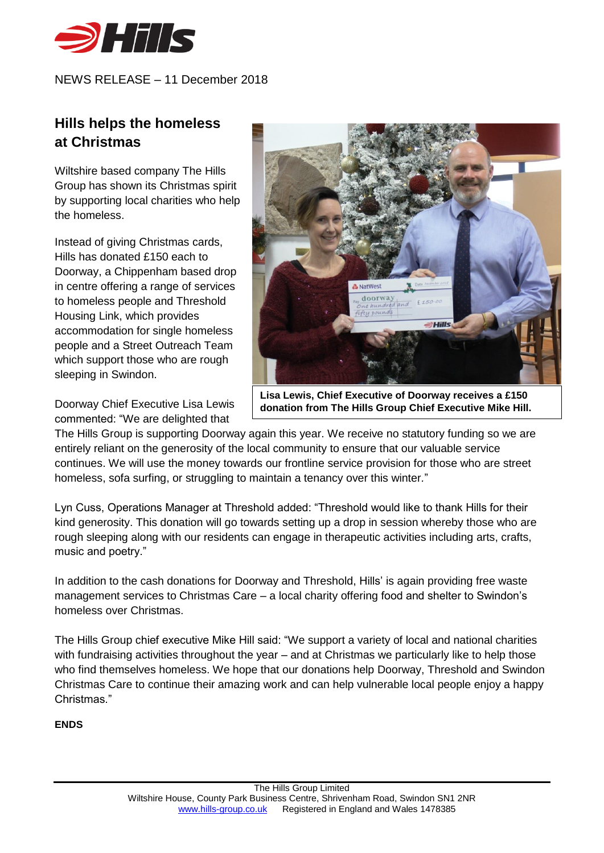

NEWS RELEASE – 11 December 2018

## **Hills helps the homeless at Christmas**

Wiltshire based company The Hills Group has shown its Christmas spirit by supporting local charities who help the homeless.

Instead of giving Christmas cards, Hills has donated £150 each to Doorway, a Chippenham based drop in centre offering a range of services to homeless people and Threshold Housing Link, which provides accommodation for single homeless people and a Street Outreach Team which support those who are rough sleeping in Swindon.

Doorway Chief Executive Lisa Lewis commented: "We are delighted that



**Lisa Lewis, Chief Executive of Doorway receives a £150 donation from The Hills Group Chief Executive Mike Hill.**

The Hills Group is supporting Doorway again this year. We receive no statutory funding so we are entirely reliant on the generosity of the local community to ensure that our valuable service continues. We will use the money towards our frontline service provision for those who are street homeless, sofa surfing, or struggling to maintain a tenancy over this winter*.*"

Lyn Cuss, Operations Manager at Threshold added: "Threshold would like to thank Hills for their kind generosity. This donation will go towards setting up a drop in session whereby those who are rough sleeping along with our residents can engage in therapeutic activities including arts, crafts, music and poetry."

In addition to the cash donations for Doorway and Threshold, Hills' is again providing free waste management services to Christmas Care – a local charity offering food and shelter to Swindon's homeless over Christmas.

The Hills Group chief executive Mike Hill said: "We support a variety of local and national charities with fundraising activities throughout the year – and at Christmas we particularly like to help those who find themselves homeless. We hope that our donations help Doorway, Threshold and Swindon Christmas Care to continue their amazing work and can help vulnerable local people enjoy a happy Christmas."

## **ENDS**